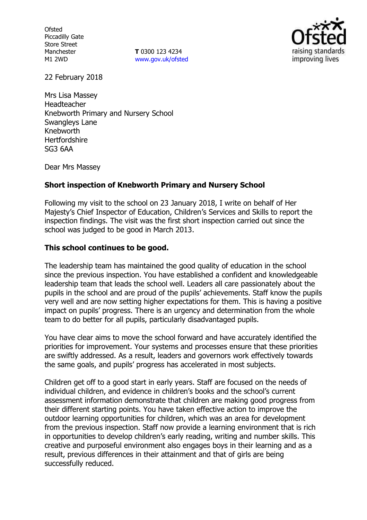**Ofsted** Piccadilly Gate Store Street Manchester M1 2WD

**T** 0300 123 4234 www.gov.uk/ofsted



22 February 2018

Mrs Lisa Massey Headteacher Knebworth Primary and Nursery School Swangleys Lane Knebworth **Hertfordshire** SG3 6AA

Dear Mrs Massey

### **Short inspection of Knebworth Primary and Nursery School**

Following my visit to the school on 23 January 2018, I write on behalf of Her Majesty's Chief Inspector of Education, Children's Services and Skills to report the inspection findings. The visit was the first short inspection carried out since the school was judged to be good in March 2013.

#### **This school continues to be good.**

The leadership team has maintained the good quality of education in the school since the previous inspection. You have established a confident and knowledgeable leadership team that leads the school well. Leaders all care passionately about the pupils in the school and are proud of the pupils' achievements. Staff know the pupils very well and are now setting higher expectations for them. This is having a positive impact on pupils' progress. There is an urgency and determination from the whole team to do better for all pupils, particularly disadvantaged pupils.

You have clear aims to move the school forward and have accurately identified the priorities for improvement. Your systems and processes ensure that these priorities are swiftly addressed. As a result, leaders and governors work effectively towards the same goals, and pupils' progress has accelerated in most subjects.

Children get off to a good start in early years. Staff are focused on the needs of individual children, and evidence in children's books and the school's current assessment information demonstrate that children are making good progress from their different starting points. You have taken effective action to improve the outdoor learning opportunities for children, which was an area for development from the previous inspection. Staff now provide a learning environment that is rich in opportunities to develop children's early reading, writing and number skills. This creative and purposeful environment also engages boys in their learning and as a result, previous differences in their attainment and that of girls are being successfully reduced.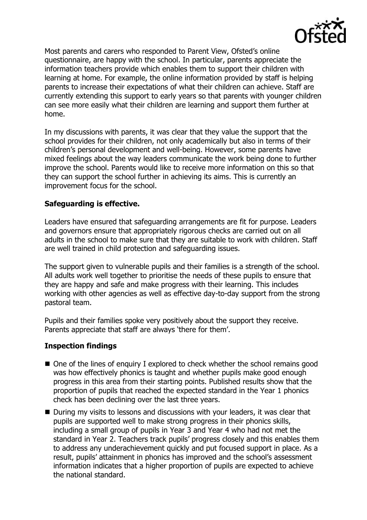

Most parents and carers who responded to Parent View, Ofsted's online questionnaire, are happy with the school. In particular, parents appreciate the information teachers provide which enables them to support their children with learning at home. For example, the online information provided by staff is helping parents to increase their expectations of what their children can achieve. Staff are currently extending this support to early years so that parents with younger children can see more easily what their children are learning and support them further at home.

In my discussions with parents, it was clear that they value the support that the school provides for their children, not only academically but also in terms of their children's personal development and well-being. However, some parents have mixed feelings about the way leaders communicate the work being done to further improve the school. Parents would like to receive more information on this so that they can support the school further in achieving its aims. This is currently an improvement focus for the school.

## **Safeguarding is effective.**

Leaders have ensured that safeguarding arrangements are fit for purpose. Leaders and governors ensure that appropriately rigorous checks are carried out on all adults in the school to make sure that they are suitable to work with children. Staff are well trained in child protection and safeguarding issues.

The support given to vulnerable pupils and their families is a strength of the school. All adults work well together to prioritise the needs of these pupils to ensure that they are happy and safe and make progress with their learning. This includes working with other agencies as well as effective day-to-day support from the strong pastoral team.

Pupils and their families spoke very positively about the support they receive. Parents appreciate that staff are always 'there for them'.

# **Inspection findings**

- One of the lines of enquiry I explored to check whether the school remains good was how effectively phonics is taught and whether pupils make good enough progress in this area from their starting points. Published results show that the proportion of pupils that reached the expected standard in the Year 1 phonics check has been declining over the last three years.
- During my visits to lessons and discussions with your leaders, it was clear that pupils are supported well to make strong progress in their phonics skills, including a small group of pupils in Year 3 and Year 4 who had not met the standard in Year 2. Teachers track pupils' progress closely and this enables them to address any underachievement quickly and put focused support in place. As a result, pupils' attainment in phonics has improved and the school's assessment information indicates that a higher proportion of pupils are expected to achieve the national standard.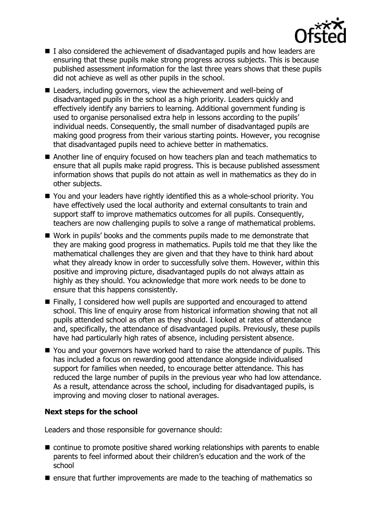

- I also considered the achievement of disadvantaged pupils and how leaders are ensuring that these pupils make strong progress across subjects. This is because published assessment information for the last three years shows that these pupils did not achieve as well as other pupils in the school.
- Leaders, including governors, view the achievement and well-being of disadvantaged pupils in the school as a high priority. Leaders quickly and effectively identify any barriers to learning. Additional government funding is used to organise personalised extra help in lessons according to the pupils' individual needs. Consequently, the small number of disadvantaged pupils are making good progress from their various starting points. However, you recognise that disadvantaged pupils need to achieve better in mathematics.
- Another line of enquiry focused on how teachers plan and teach mathematics to ensure that all pupils make rapid progress. This is because published assessment information shows that pupils do not attain as well in mathematics as they do in other subjects.
- You and your leaders have rightly identified this as a whole-school priority. You have effectively used the local authority and external consultants to train and support staff to improve mathematics outcomes for all pupils. Consequently, teachers are now challenging pupils to solve a range of mathematical problems.
- Work in pupils' books and the comments pupils made to me demonstrate that they are making good progress in mathematics. Pupils told me that they like the mathematical challenges they are given and that they have to think hard about what they already know in order to successfully solve them. However, within this positive and improving picture, disadvantaged pupils do not always attain as highly as they should. You acknowledge that more work needs to be done to ensure that this happens consistently.
- Finally, I considered how well pupils are supported and encouraged to attend school. This line of enquiry arose from historical information showing that not all pupils attended school as often as they should. I looked at rates of attendance and, specifically, the attendance of disadvantaged pupils. Previously, these pupils have had particularly high rates of absence, including persistent absence.
- You and your governors have worked hard to raise the attendance of pupils. This has included a focus on rewarding good attendance alongside individualised support for families when needed, to encourage better attendance. This has reduced the large number of pupils in the previous year who had low attendance. As a result, attendance across the school, including for disadvantaged pupils, is improving and moving closer to national averages.

# **Next steps for the school**

Leaders and those responsible for governance should:

- continue to promote positive shared working relationships with parents to enable parents to feel informed about their children's education and the work of the school
- $\blacksquare$  ensure that further improvements are made to the teaching of mathematics so